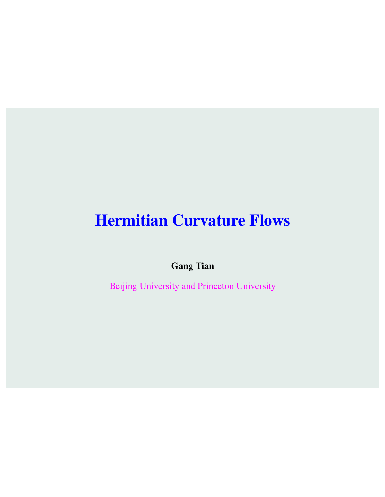## Hermitian Curvature Flows

Gang Tian

Beijing University and Princeton University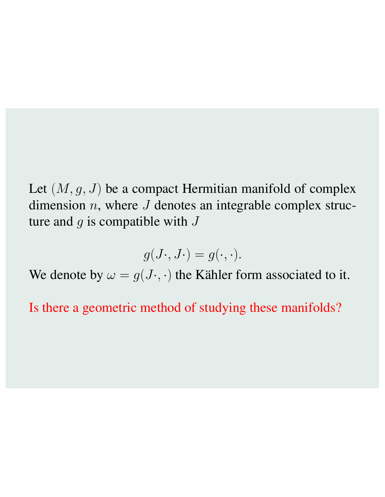Let (*M, g, J*) be a compact Hermitian manifold of complex dimension *n*, where *J* denotes an integrable complex structure and *g* is compatible with *J*

$$
g(J\cdot, J\cdot) = g(\cdot, \cdot).
$$

We denote by  $\omega = g(J \cdot, \cdot)$  the Kähler form associated to it.

Is there a geometric method of studying these manifolds?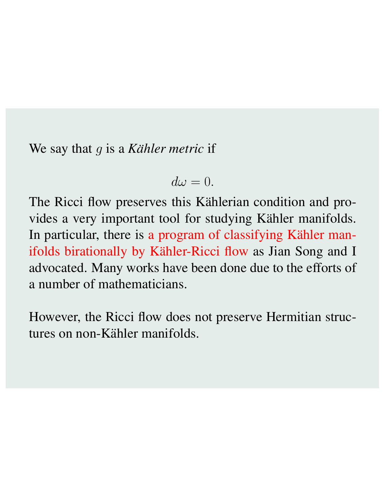We say that *g* is a *Kähler metric* if

$$
d\omega = 0.
$$

The Ricci flow preserves this Kählerian condition and provides a very important tool for studying Kähler manifolds. In particular, there is a program of classifying Kähler manifolds birationally by Kähler-Ricci flow as Jian Song and I advocated. Many works have been done due to the efforts of a number of mathematicians.

However, the Ricci flow does not preserve Hermitian structures on non-Kähler manifolds.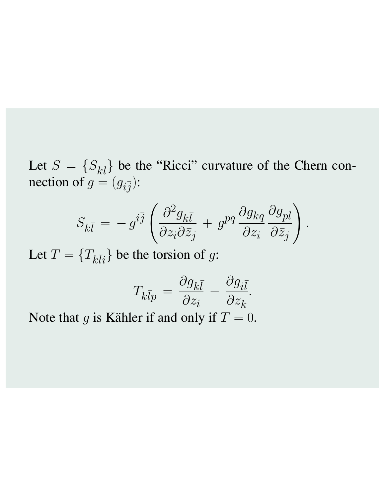Let  $S = \{S_{k\bar{l}}\}$  be the "Ricci" curvature of the Chern connection of  $g = (g_{i\bar{j}})$ :

$$
S_{k\bar{l}} = -g^{i\bar{j}} \left( \frac{\partial^2 g_{k\bar{l}}}{\partial z_i \partial \bar{z}_j} + g^{p\bar{q}} \frac{\partial g_{k\bar{q}}}{\partial z_i} \frac{\partial g_{p\bar{l}}}{\partial \bar{z}_j} \right).
$$

Let  $T = \{T_{k\bar{l}i}\}$  be the torsion of *g*:

$$
T_{k\bar{l}p} = \frac{\partial g_{k\bar{l}}}{\partial z_i} - \frac{\partial g_{i\bar{l}}}{\partial z_k}.
$$

Note that  $g$  is Kähler if and only if  $T = 0$ .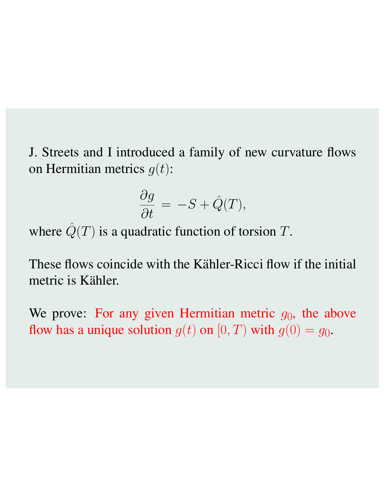J. Streets and I introduced a family of new curvature flows on Hermitian metrics *g*(*t*):

$$
\frac{\partial g}{\partial t} = -S + \hat{Q}(T),
$$

where  $\hat{Q}(T)$  is a quadratic function of torsion *T*.

These flows coincide with the Kähler-Ricci flow if the initial metric is Kähler.

We prove: For any given Hermitian metric  $g_0$ , the above flow has a unique solution  $g(t)$  on  $[0, T)$  with  $g(0) = g_0$ .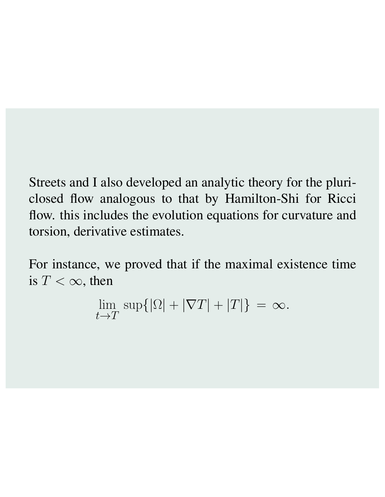Streets and I also developed an analytic theory for the pluriclosed flow analogous to that by Hamilton-Shi for Ricci flow. this includes the evolution equations for curvature and torsion, derivative estimates.

For instance, we proved that if the maximal existence time is  $T < \infty$ , then

$$
\lim_{t \to T} \sup \{ |\Omega| + |\nabla T| + |T| \} = \infty.
$$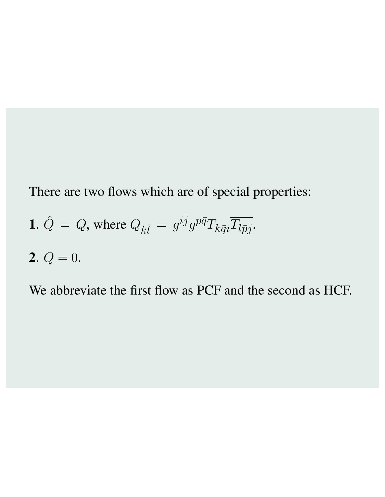There are two flows which are of special properties:

**1.** 
$$
\hat{Q} = Q
$$
, where  $Q_{k\bar{l}} = g^{i\bar{j}}g^{p\bar{q}}T_{k\bar{q}i}\overline{T_{l\bar{p}j}}$ .

**2.** 
$$
Q = 0
$$
.

We abbreviate the first flow as PCF and the second as HCF.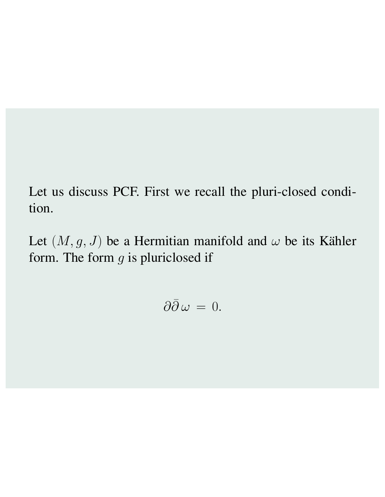Let us discuss PCF. First we recall the pluri-closed condition.

Let  $(M, g, J)$  be a Hermitian manifold and  $\omega$  be its Kähler form. The form *g* is pluriclosed if

$$
\partial\bar\partial\,\omega\,=\,0.
$$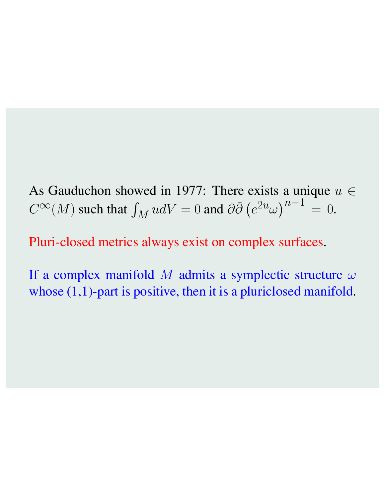As Gauduchon showed in 1977: There exists a unique  $u \in$  $C^{\infty}(M)$  such that  $\int_M udV = 0$  and  $\partial \bar{\partial} (e^{2u} \omega)^{n-1} = 0$ .

Pluri-closed metrics always exist on complex surfaces.

If a complex manifold M admits a symplectic structure  $\omega$ whose  $(1,1)$ -part is positive, then it is a pluriclosed manifold.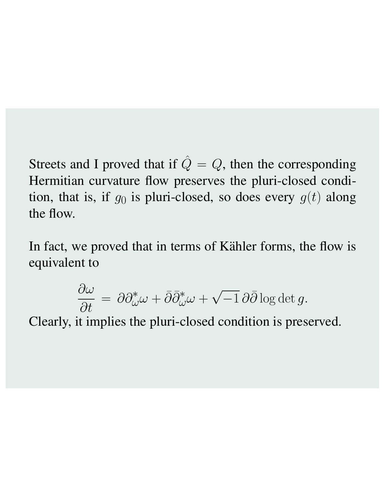Streets and I proved that if  $\hat{Q} = Q$ , then the corresponding Hermitian curvature flow preserves the pluri-closed condition, that is, if  $g_0$  is pluri-closed, so does every  $g(t)$  along the flow.

In fact, we proved that in terms of Kähler forms, the flow is equivalent to

$$
\frac{\partial \omega}{\partial t} = \partial \partial_{\omega}^* \omega + \bar{\partial} \bar{\partial}_{\omega}^* \omega + \sqrt{-1} \partial \bar{\partial} \log \det g.
$$

Clearly, it implies the pluri-closed condition is preserved.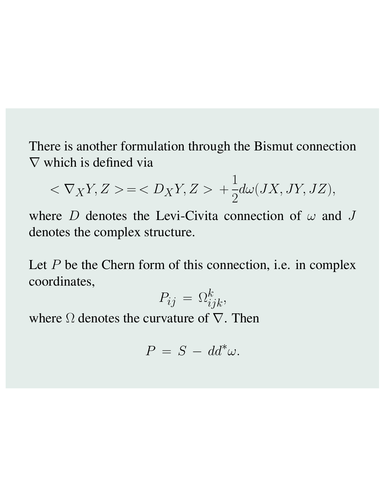There is another formulation through the Bismut connection  $\nabla$  which is defined via

$$
<\nabla_XY,Z>=+\frac{1}{2}d\omega(JX,JY,JZ),
$$

where *D* denotes the Levi-Civita connection of  $\omega$  and *J* denotes the complex structure.

Let *P* be the Chern form of this connection, i.e. in complex coordinates,

$$
P_{ij} = \Omega_{ijk}^k,
$$

where  $\Omega$  denotes the curvature of  $\nabla$ . Then

$$
P = S - dd^*\omega.
$$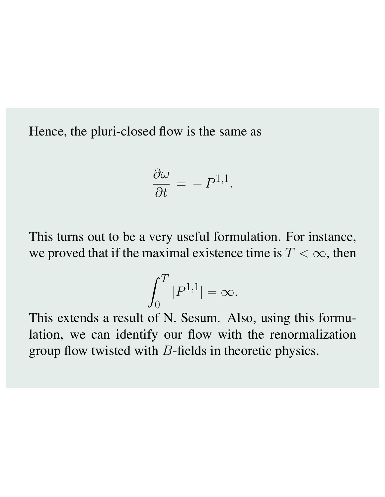Hence, the pluri-closed flow is the same as

$$
\frac{\partial \omega}{\partial t} = -P^{1,1}.
$$

This turns out to be a very useful formulation. For instance, we proved that if the maximal existence time is  $T < \infty$ , then

$$
\int_0^T |P^{1,1}| = \infty.
$$

This extends a result of N. Sesum. Also, using this formulation, we can identify our flow with the renormalization group flow twisted with *B*-fields in theoretic physics.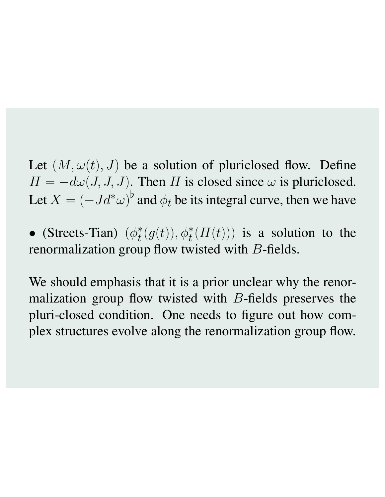Let  $(M, \omega(t), J)$  be a solution of pluriclosed flow. Define  $H = -d\omega(J, J, J)$ . Then *H* is closed since  $\omega$  is pluriclosed. Let  $X = (-Jd^*\omega)^b$  and  $\phi_t$  be its integral curve, then we have

• (Streets-Tian)  $(\phi_t^*(g(t)), \phi_t^*(H(t)))$  is a solution to the renormalization group flow twisted with *B*-fields.

We should emphasis that it is a prior unclear why the renormalization group flow twisted with *B*-fields preserves the pluri-closed condition. One needs to figure out how complex structures evolve along the renormalization group flow.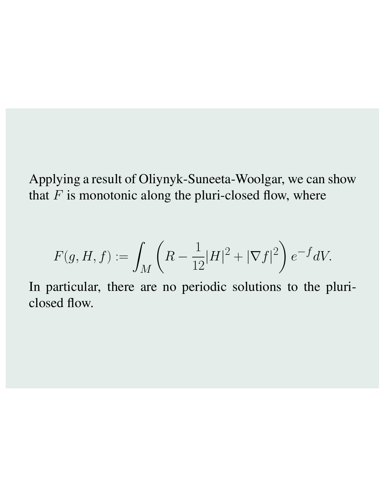Applying a result of Oliynyk-Suneeta-Woolgar, we can show that  $F$  is monotonic along the pluri-closed flow, where

$$
F(g,H,f):=\int_M\left(R-\frac{1}{12}|H|^2+|\nabla f|^2\right)e^{-f}dV.
$$

In particular, there are no periodic solutions to the pluriclosed flow.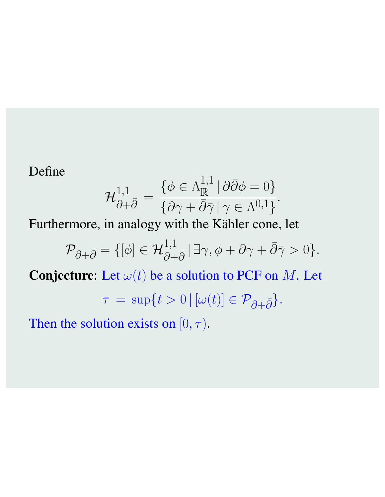Define

$$
\mathcal{H}_{\partial+\bar{\partial}}^{1,1} = \frac{\{\phi \in \Lambda_{\mathbb{R}}^{1,1} \mid \partial\bar{\partial}\phi = 0\}}{\{\partial \gamma + \bar{\partial}\bar{\gamma} \mid \gamma \in \Lambda^{0,1}\}}.
$$

Furthermore, in analogy with the Kähler cone, let

$$
\mathcal{P}_{\partial+\bar{\partial}} = \{ [\phi] \in \mathcal{H}_{\partial+\bar{\partial}}^{1,1} | \exists \gamma, \phi + \partial \gamma + \bar{\partial}\bar{\gamma} > 0 \}.
$$

**Conjecture:** Let  $\omega(t)$  be a solution to PCF on *M*. Let

$$
\tau = \sup\{t > 0 \,|\, [\omega(t)] \in \mathcal{P}_{\partial + \bar{\partial}}\}.
$$

Then the solution exists on  $[0, \tau)$ .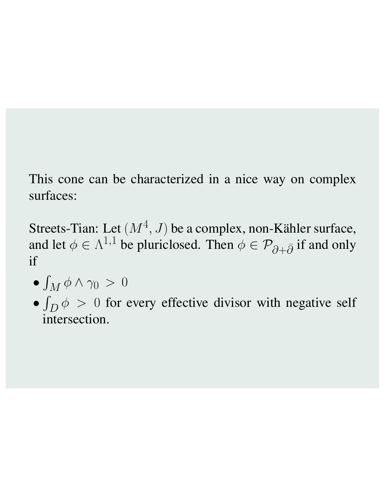This cone can be characterized in a nice way on complex surfaces:

Streets-Tian: Let  $(M^4, J)$  be a complex, non-Kähler surface, and let  $\phi \in \Lambda^{1,1}$  be pluriclosed. Then  $\phi \in \mathcal{P}_{\partial + \bar{\partial}}$  if and only if

$$
\bullet \int_M \phi \wedge \gamma_0 \,>\,0
$$

*•*  $\int_D \phi > 0$  for every effective divisor with negative self intersection.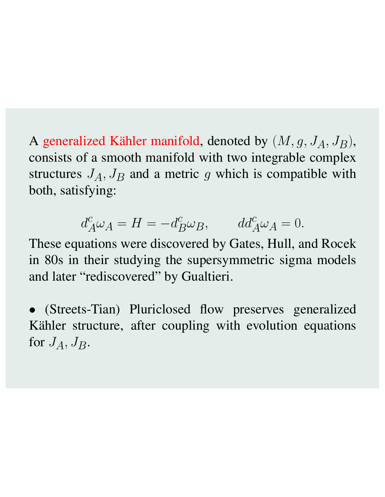A generalized Kähler manifold, denoted by  $(M, g, J_A, J_B)$ , consists of a smooth manifold with two integrable complex structures  $J_A$ ,  $J_B$  and a metric  $g$  which is compatible with both, satisfying:

$$
d_A^c \omega_A = H = -d_B^c \omega_B, \qquad dd_A^c \omega_A = 0.
$$

These equations were discovered by Gates, Hull, and Rocek in 80s in their studying the supersymmetric sigma models and later "rediscovered" by Gualtieri.

*•* (Streets-Tian) Pluriclosed flow preserves generalized Kähler structure, after coupling with evolution equations for  $J_A$ ,  $J_B$ .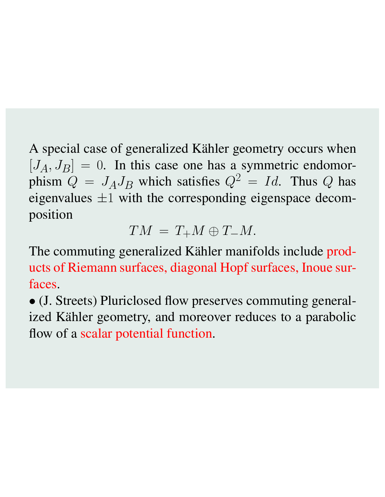A special case of generalized Kähler geometry occurs when  $[J_A, J_B]=0$ . In this case one has a symmetric endomorphism  $\ddot{Q} = J_A J_B$  which satisfies  $Q^2 = Id$ . Thus Q has eigenvalues *±*1 with the corresponding eigenspace decomposition

$$
TM = T_+M \oplus T_-M.
$$

The commuting generalized Kähler manifolds include products of Riemann surfaces, diagonal Hopf surfaces, Inoue surfaces.

*•* (J. Streets) Pluriclosed flow preserves commuting generalized Kähler geometry, and moreover reduces to a parabolic flow of a scalar potential function.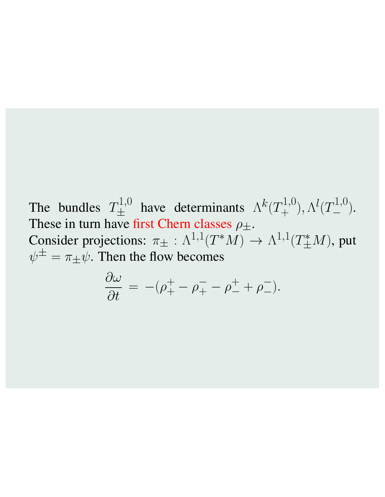The bundles  $T_{\pm}^{1,0}$  have determinants  $\Lambda^k(T_{+}^{1,0}), \Lambda^l(T_{-}^{1,0}).$ These in turn have first Chern classes  $\rho_{\pm}$ . Consider projections:  $\pi_{\pm} : \Lambda^{1,1}(T^*M) \to \Lambda^{1,1}(T^*_{\pm}M)$ , put  $\psi^{\pm} = \pi_{\pm} \psi$ . Then the flow becomes

$$
\frac{\partial \omega}{\partial t} = -(\rho_+^+ - \rho_+^- - \rho_-^+ + \rho_-^-).
$$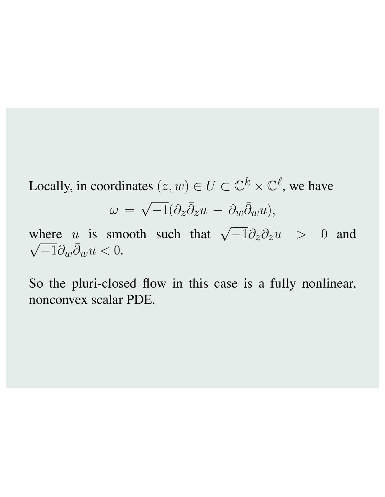Locally, in coordinates  $(z, w) \in U \subset \mathbb{C}^k \times \mathbb{C}^{\ell}$ , we have

$$
\omega = \sqrt{-1} (\partial_z \bar{\partial}_z u - \partial_w \bar{\partial}_w u),
$$

where *u* is smooth such that  $\sqrt{-1}\partial_z\overline{\partial}_z u > 0$  and  $\sqrt{-1}\partial_w\bar{\partial}_w u < 0.$ 

So the pluri-closed flow in this case is a fully nonlinear, nonconvex scalar PDE.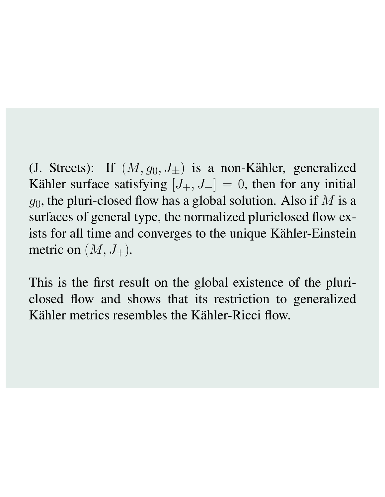(J. Streets): If  $(M, g_0, J_{\pm})$  is a non-Kähler, generalized Kähler surface satisfying  $[J_+, J_-] = 0$ , then for any initial *g*0, the pluri-closed flow has a global solution. Also if *M* is a surfaces of general type, the normalized pluriclosed flow exists for all time and converges to the unique Kähler-Einstein metric on  $(M, J_+).$ 

This is the first result on the global existence of the pluriclosed flow and shows that its restriction to generalized Kähler metrics resembles the Kähler-Ricci flow.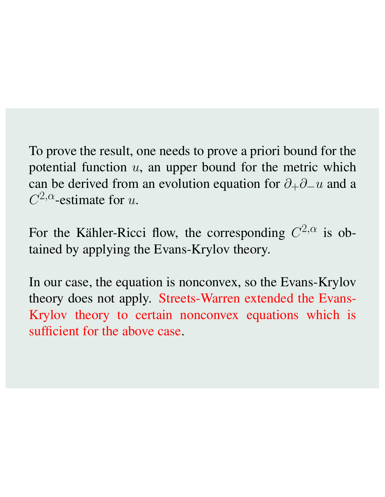To prove the result, one needs to prove a priori bound for the potential function *u*, an upper bound for the metric which can be derived from an evolution equation for  $\partial_{+}\partial_{-}u$  and a  $C^{2,\alpha}$ -estimate for *u*.

For the Kähler-Ricci flow, the corresponding  $C^{2,\alpha}$  is obtained by applying the Evans-Krylov theory.

In our case, the equation is nonconvex, so the Evans-Krylov theory does not apply. Streets-Warren extended the Evans-Krylov theory to certain nonconvex equations which is sufficient for the above case.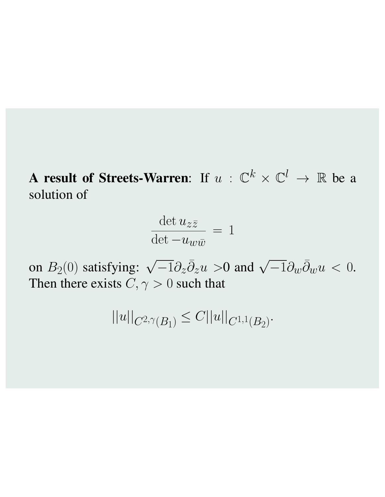A result of Streets-Warren: If  $u : \mathbb{C}^k \times \mathbb{C}^l \to \mathbb{R}$  be a solution of

$$
\frac{\det u_{z\bar{z}}}{\det -u_{w\bar{w}}} = 1
$$

on  $B_2(0)$  satisfying:  $\sqrt{-1}\partial_z\overline{\partial}_z u > 0$  and  $\sqrt{-1}\partial_w\overline{\partial}_w u < 0$ . Then there exists  $C, \gamma > 0$  such that

$$
||u||_{C^{2,\gamma}(B_1)} \leq C||u||_{C^{1,1}(B_2)}.
$$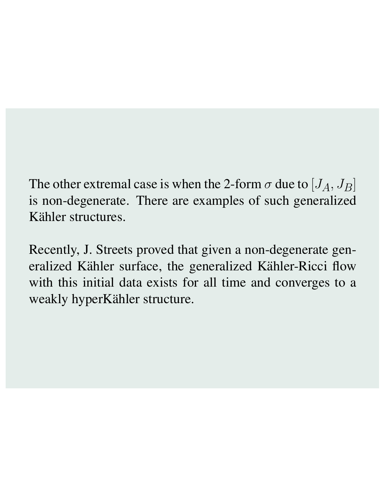The other extremal case is when the 2-form  $\sigma$  due to  $[J_A, J_B]$ is non-degenerate. There are examples of such generalized Kähler structures.

Recently, J. Streets proved that given a non-degenerate generalized Kähler surface, the generalized Kähler-Ricci flow with this initial data exists for all time and converges to a weakly hyperKähler structure.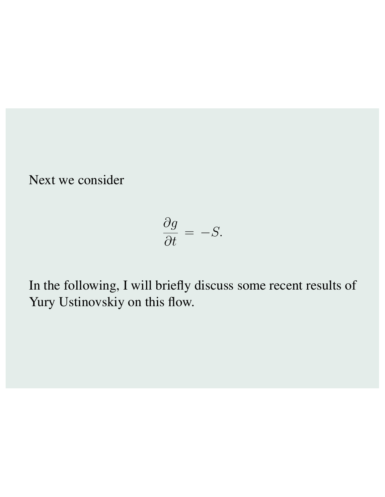Next we consider

$$
\frac{\partial g}{\partial t} = -S.
$$

In the following, I will briefly discuss some recent results of Yury Ustinovskiy on this flow.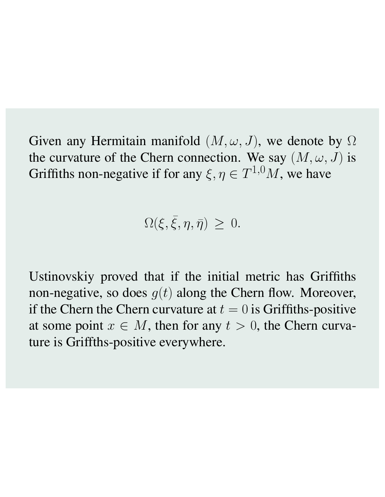Given any Hermitain manifold  $(M, \omega, J)$ , we denote by  $\Omega$ the curvature of the Chern connection. We say  $(M, \omega, J)$  is Griffiths non-negative if for any  $\xi, \eta \in T^{1,0}M$ , we have

 $\Omega(\xi, \bar{\xi}, \eta, \bar{\eta}) \geq 0.$ 

Ustinovskiy proved that if the initial metric has Griffiths non-negative, so does  $g(t)$  along the Chern flow. Moreover, if the Chern the Chern curvature at  $t = 0$  is Griffiths-positive at some point  $x \in M$ , then for any  $t > 0$ , the Chern curvature is Griffths-positive everywhere.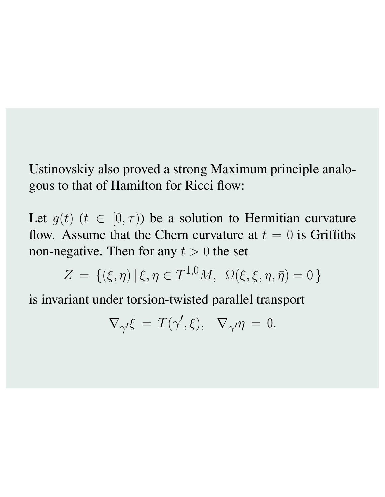Ustinovskiy also proved a strong Maximum principle analogous to that of Hamilton for Ricci flow:

Let  $g(t)$  ( $t \in [0, \tau)$ ) be a solution to Hermitian curvature flow. Assume that the Chern curvature at  $t = 0$  is Griffiths non-negative. Then for any  $t > 0$  the set

$$
Z = \{(\xi, \eta) | \xi, \eta \in T^{1,0}M, \ \Omega(\xi, \bar{\xi}, \eta, \bar{\eta}) = 0 \}
$$

is invariant under torsion-twisted parallel transport

$$
\nabla_{\gamma'} \xi = T(\gamma', \xi), \quad \nabla_{\gamma'} \eta = 0.
$$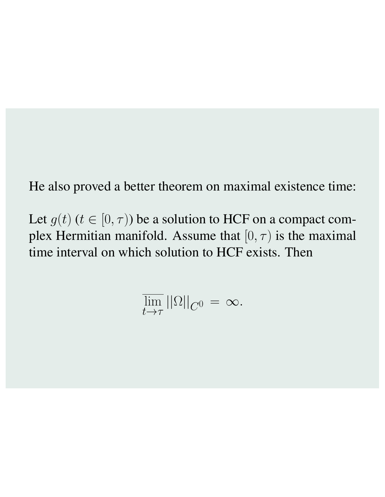He also proved a better theorem on maximal existence time:

Let  $g(t)$  ( $t \in [0, \tau)$ ) be a solution to HCF on a compact complex Hermitian manifold. Assume that  $[0, \tau)$  is the maximal time interval on which solution to HCF exists. Then

$$
\overline{\lim_{t\to\tau}}\left|\left|\Omega\right|\right|_{C^0}=\infty.
$$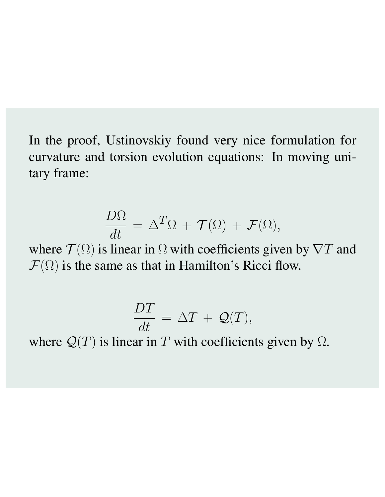In the proof, Ustinovskiy found very nice formulation for curvature and torsion evolution equations: In moving unitary frame:

$$
\frac{D\Omega}{dt} = \Delta^T \Omega + \mathcal{T}(\Omega) + \mathcal{F}(\Omega),
$$

where  $\mathcal{T}(\Omega)$  is linear in  $\Omega$  with coefficients given by  $\nabla T$  and  $\mathcal{F}(\Omega)$  is the same as that in Hamilton's Ricci flow.

$$
\frac{DT}{dt} = \Delta T + \mathcal{Q}(T),
$$

where  $Q(T)$  is linear in  $T$  with coefficients given by  $\Omega$ .